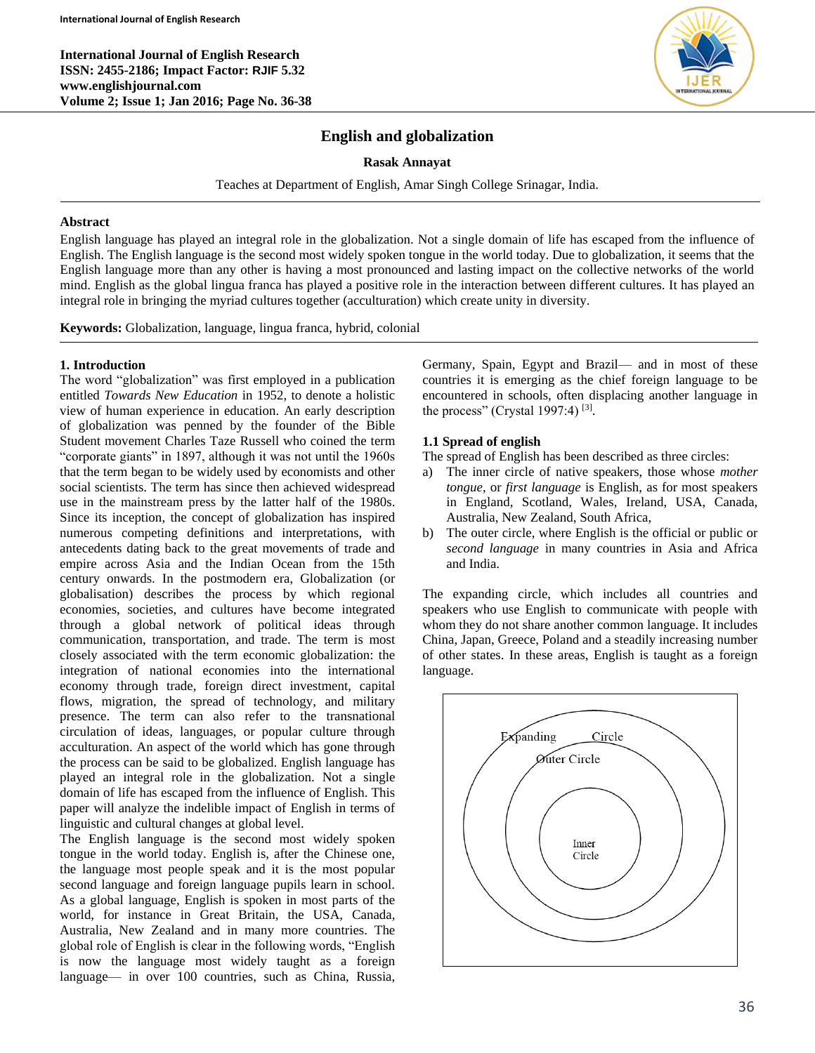**International Journal of English Research ISSN: 2455-2186; Impact Factor: RJIF 5.32 www.englishjournal.com Volume 2; Issue 1; Jan 2016; Page No. 36-38**



# **English and globalization**

**Rasak Annayat**

Teaches at Department of English, Amar Singh College Srinagar, India.

### **Abstract**

English language has played an integral role in the globalization. Not a single domain of life has escaped from the influence of English. The English language is the second most widely spoken tongue in the world today. Due to globalization, it seems that the English language more than any other is having a most pronounced and lasting impact on the collective networks of the world mind. English as the global lingua franca has played a positive role in the interaction between different cultures. It has played an integral role in bringing the myriad cultures together (acculturation) which create unity in diversity.

**Keywords:** Globalization, language, lingua franca, hybrid, colonial

### **1. Introduction**

The word "globalization" was first employed in a publication entitled *Towards New Education* in 1952, to denote a holistic view of human experience in education. An early description of globalization was penned by the founder of the Bible Student movement Charles Taze Russell who coined the term "corporate giants" in 1897, although it was not until the 1960s that the term began to be widely used by economists and other social scientists. The term has since then achieved widespread use in the mainstream press by the latter half of the 1980s. Since its inception, the concept of globalization has inspired numerous competing definitions and interpretations, with antecedents dating back to the great movements of trade and empire across Asia and the Indian Ocean from the 15th century onwards. In the postmodern era, Globalization (or globalisation) describes the process by which regional economies, societies, and cultures have become integrated through a global network of political ideas through communication, transportation, and trade. The term is most closely associated with the term economic globalization: the integration of national economies into the international economy through trade, foreign direct investment, capital flows, migration, the spread of technology, and military presence. The term can also refer to the transnational circulation of ideas, languages, or popular culture through acculturation. An aspect of the world which has gone through the process can be said to be globalized. English language has played an integral role in the globalization. Not a single domain of life has escaped from the influence of English. This paper will analyze the indelible impact of English in terms of linguistic and cultural changes at global level.

The English language is the second most widely spoken tongue in the world today. English is, after the Chinese one, the language most people speak and it is the most popular second language and foreign language pupils learn in school. As a global language, English is spoken in most parts of the world, for instance in Great Britain, the USA, Canada, Australia, New Zealand and in many more countries. The global role of English is clear in the following words, "English is now the language most widely taught as a foreign language— in over 100 countries, such as China, Russia,

Germany, Spain, Egypt and Brazil— and in most of these countries it is emerging as the chief foreign language to be encountered in schools, often displacing another language in the process" (Crystal 1997:4)<sup>[3]</sup>.

## **1.1 Spread of english**

The spread of English has been described as three circles:

- a) The inner circle of native speakers, those whose *mother tongue*, or *first language* is English, as for most speakers in England, Scotland, Wales, Ireland, USA, Canada, Australia, New Zealand, South Africa,
- b) The outer circle, where English is the official or public or *second language* in many countries in Asia and Africa and India.

The expanding circle, which includes all countries and speakers who use English to communicate with people with whom they do not share another common language. It includes China, Japan, Greece, Poland and a steadily increasing number of other states. In these areas, English is taught as a foreign language.

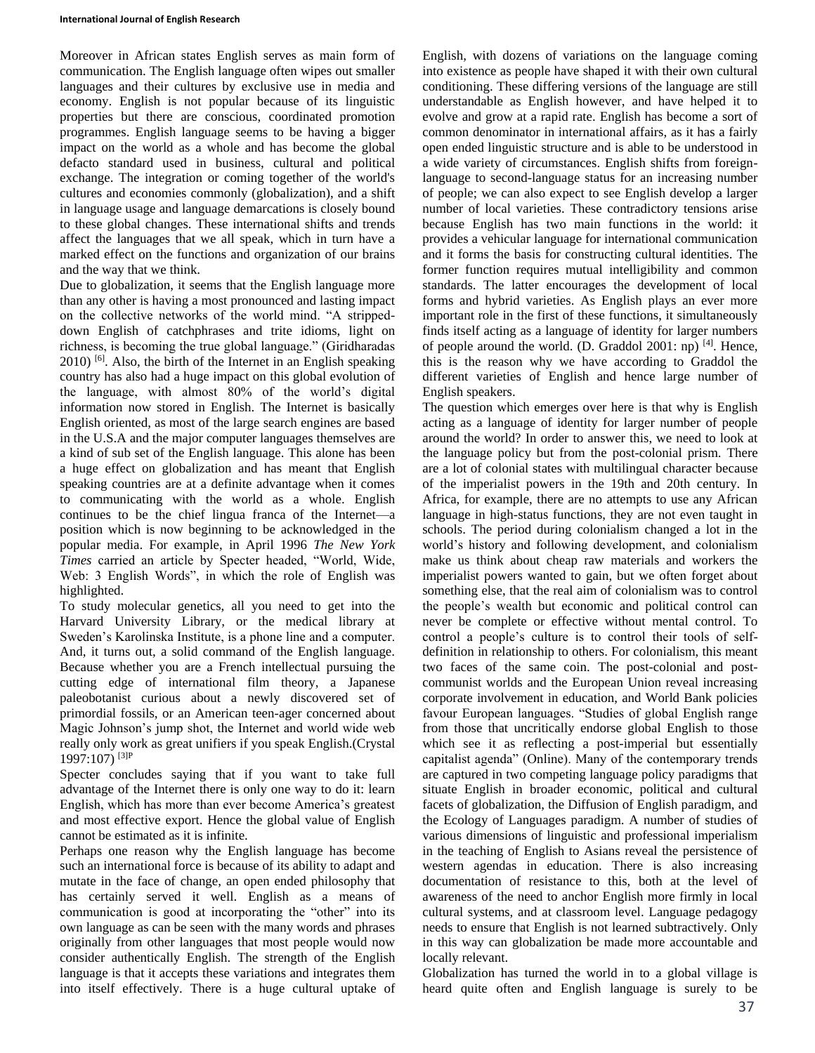Moreover in African states English serves as main form of communication. The English language often wipes out smaller languages and their cultures by exclusive use in media and economy. English is not popular because of its linguistic properties but there are conscious, coordinated promotion programmes. English language seems to be having a bigger impact on the world as a whole and has become the global defacto standard used in business, cultural and political exchange. The integration or coming together of the world's cultures and economies commonly (globalization), and a shift in language usage and language demarcations is closely bound to these global changes. These international shifts and trends affect the languages that we all speak, which in turn have a marked effect on the functions and organization of our brains and the way that we think.

Due to globalization, it seems that the English language more than any other is having a most pronounced and lasting impact on the collective networks of the world mind. "A strippeddown English of catchphrases and trite idioms, light on richness, is becoming the true global language." (Giridharadas 2010) [6] . Also, the birth of the Internet in an English speaking country has also had a huge impact on this global evolution of the language, with almost 80% of the world's digital information now stored in English. The Internet is basically English oriented, as most of the large search engines are based in the U.S.A and the major computer languages themselves are a kind of sub set of the English language. This alone has been a huge effect on globalization and has meant that English speaking countries are at a definite advantage when it comes to communicating with the world as a whole. English continues to be the chief lingua franca of the Internet—a position which is now beginning to be acknowledged in the popular media. For example, in April 1996 *The New York Times* carried an article by Specter headed, "World, Wide, Web: 3 English Words", in which the role of English was highlighted.

To study molecular genetics, all you need to get into the Harvard University Library, or the medical library at Sweden's Karolinska Institute, is a phone line and a computer. And, it turns out, a solid command of the English language. Because whether you are a French intellectual pursuing the cutting edge of international film theory, a Japanese paleobotanist curious about a newly discovered set of primordial fossils, or an American teen-ager concerned about Magic Johnson's jump shot, the Internet and world wide web really only work as great unifiers if you speak English.(Crystal 1997:107) [3]P

Specter concludes saying that if you want to take full advantage of the Internet there is only one way to do it: learn English, which has more than ever become America's greatest and most effective export. Hence the global value of English cannot be estimated as it is infinite.

Perhaps one reason why the English language has become such an international force is because of its ability to adapt and mutate in the face of change, an open ended philosophy that has certainly served it well. English as a means of communication is good at incorporating the "other" into its own language as can be seen with the many words and phrases originally from other languages that most people would now consider authentically English. The strength of the English language is that it accepts these variations and integrates them into itself effectively. There is a huge cultural uptake of English, with dozens of variations on the language coming into existence as people have shaped it with their own cultural conditioning. These differing versions of the language are still understandable as English however, and have helped it to evolve and grow at a rapid rate. English has become a sort of common denominator in international affairs, as it has a fairly open ended linguistic structure and is able to be understood in a wide variety of circumstances. English shifts from foreignlanguage to second-language status for an increasing number of people; we can also expect to see English develop a larger number of local varieties. These contradictory tensions arise because English has two main functions in the world: it provides a vehicular language for international communication and it forms the basis for constructing cultural identities. The former function requires mutual intelligibility and common standards. The latter encourages the development of local forms and hybrid varieties. As English plays an ever more important role in the first of these functions, it simultaneously finds itself acting as a language of identity for larger numbers of people around the world. (D. Graddol 2001: np) <sup>[4]</sup>. Hence, this is the reason why we have according to Graddol the different varieties of English and hence large number of English speakers.

The question which emerges over here is that why is English acting as a language of identity for larger number of people around the world? In order to answer this, we need to look at the language policy but from the post-colonial prism. There are a lot of colonial states with multilingual character because of the imperialist powers in the 19th and 20th century. In Africa, for example, there are no attempts to use any African language in high-status functions, they are not even taught in schools. The period during colonialism changed a lot in the world's history and following development, and colonialism make us think about cheap raw materials and workers the imperialist powers wanted to gain, but we often forget about something else, that the real aim of colonialism was to control the people's wealth but economic and political control can never be complete or effective without mental control. To control a people's culture is to control their tools of selfdefinition in relationship to others. For colonialism, this meant two faces of the same coin. The post-colonial and postcommunist worlds and the European Union reveal increasing corporate involvement in education, and World Bank policies favour European languages. "Studies of global English range from those that uncritically endorse global English to those which see it as reflecting a post-imperial but essentially capitalist agenda" (Online). Many of the contemporary trends are captured in two competing language policy paradigms that situate English in broader economic, political and cultural facets of globalization, the Diffusion of English paradigm, and the Ecology of Languages paradigm. A number of studies of various dimensions of linguistic and professional imperialism in the teaching of English to Asians reveal the persistence of western agendas in education. There is also increasing documentation of resistance to this, both at the level of awareness of the need to anchor English more firmly in local cultural systems, and at classroom level. Language pedagogy needs to ensure that English is not learned subtractively. Only in this way can globalization be made more accountable and locally relevant.

Globalization has turned the world in to a global village is heard quite often and English language is surely to be